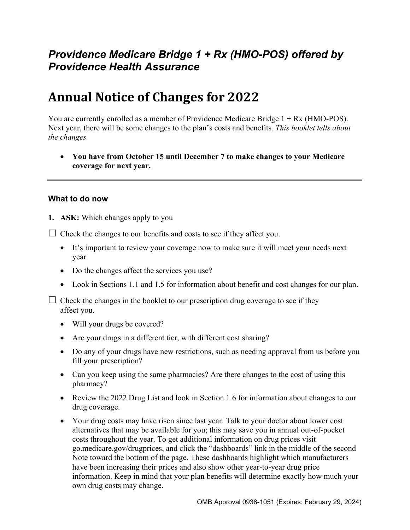# *Providence Medicare Bridge 1 + Rx (HMO-POS) offered by Providence Health Assurance*

# **Annual Notice of Changes for 2022**

You are currently enrolled as a member of Providence Medicare Bridge 1 + Rx (HMO-POS). Next year, there will be some changes to the plan's costs and benefits*. This booklet tells about the changes.* 

 **You have from October 15 until December 7 to make changes to your Medicare coverage for next year.**

#### **What to do now**

**1. ASK:** Which changes apply to you

 $\Box$  Check the changes to our benefits and costs to see if they affect you.

- It's important to review your coverage now to make sure it will meet your needs next year.
- Do the changes affect the services you use?
- Look in Sections 1.1 and 1.5 for information about benefit and cost changes for our plan.

 $\Box$  Check the changes in the booklet to our prescription drug coverage to see if they affect you.

- Will your drugs be covered?
- Are your drugs in a different tier, with different cost sharing?
- Do any of your drugs have new restrictions, such as needing approval from us before you fill your prescription?
- Can you keep using the same pharmacies? Are there changes to the cost of using this pharmacy?
- Review the 2022 Drug List and look in Section 1.6 for information about changes to our drug coverage.
- Your drug costs may have risen since last year. Talk to your doctor about lower cost alternatives that may be available for you; this may save you in annual out-of-pocket costs throughout the year. To get additional information on drug prices visit [go.medicare.gov/drugprices,](https://go.medicare.gov/drugprices) and click the "dashboards" link in the middle of the second Note toward the bottom of the page. These dashboards highlight which manufacturers have been increasing their prices and also show other year-to-year drug price information. Keep in mind that your plan benefits will determine exactly how much your own drug costs may change.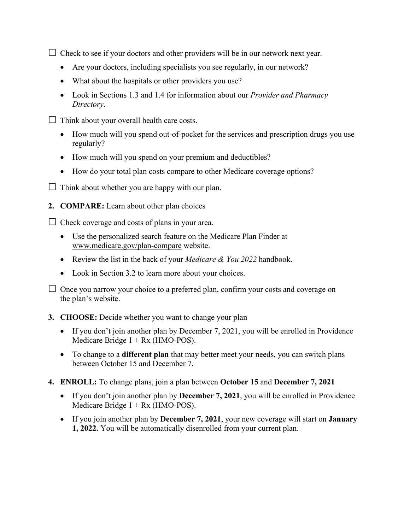$\Box$  Check to see if your doctors and other providers will be in our network next year.

- Are your doctors, including specialists you see regularly, in our network?
- What about the hospitals or other providers you use?
- Look in Sections 1.3 and 1.4 for information about our *Provider and Pharmacy Directory*.
- $\Box$  Think about your overall health care costs.
	- How much will you spend out-of-pocket for the services and prescription drugs you use regularly?
	- How much will you spend on your premium and deductibles?
	- How do your total plan costs compare to other Medicare coverage options?
- $\Box$  Think about whether you are happy with our plan.
- **2. COMPARE:** Learn about other plan choices

 $\Box$  Check coverage and costs of plans in your area.

- Use the personalized search feature on the Medicare Plan Finder at [www.medicare.gov/plan-compare](http://www.medicare.gov/plan-compare) website.
- Review the list in the back of your *Medicare & You 2022* handbook.
- Look in Section 3.2 to learn more about your choices.

 $\Box$  Once you narrow your choice to a preferred plan, confirm your costs and coverage on the plan's website.

#### **3. CHOOSE:** Decide whether you want to change your plan

- If you don't join another plan by December 7, 2021, you will be enrolled in Providence Medicare Bridge  $1 + Rx$  (HMO-POS).
- To change to a **different plan** that may better meet your needs, you can switch plans between October 15 and December 7.
- **4. ENROLL:** To change plans, join a plan between **October 15** and **December 7, 2021**
	- If you don't join another plan by **December 7, 2021**, you will be enrolled in Providence Medicare Bridge  $1 + Rx$  (HMO-POS).
	- If you join another plan by **December 7, 2021**, your new coverage will start on **January 1, 2022.** You will be automatically disenrolled from your current plan.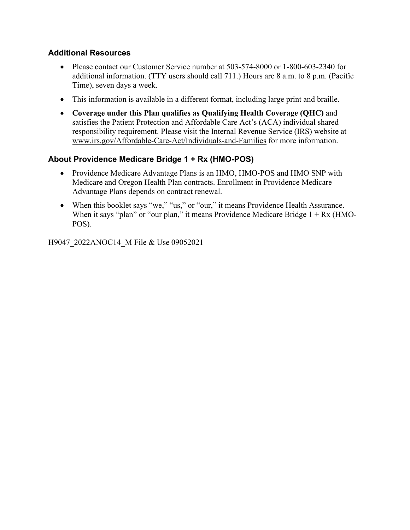### **Additional Resources**

- Please contact our Customer Service number at 503-574-8000 or 1-800-603-2340 for additional information. (TTY users should call 711.) Hours are 8 a.m. to 8 p.m. (Pacific Time), seven days a week.
- This information is available in a different format, including large print and braille.
- **Coverage under this Plan qualifies as Qualifying Health Coverage (QHC)** and satisfies the Patient Protection and Affordable Care Act's (ACA) individual shared responsibility requirement. Please visit the Internal Revenue Service (IRS) website at [www.irs.gov/Affordable-Care-Act/Individuals-and-Families](http://www.irs.gov/Affordable-Care-Act/Individuals-and-Families) for more information.

### **About Providence Medicare Bridge 1 + Rx (HMO-POS)**

- Providence Medicare Advantage Plans is an HMO, HMO-POS and HMO SNP with Medicare and Oregon Health Plan contracts. Enrollment in Providence Medicare Advantage Plans depends on contract renewal.
- When this booklet says "we," "us," or "our," it means Providence Health Assurance. When it says "plan" or "our plan," it means Providence Medicare Bridge  $1 + Rx$  (HMO-POS).

H9047\_2022ANOC14\_M File & Use 09052021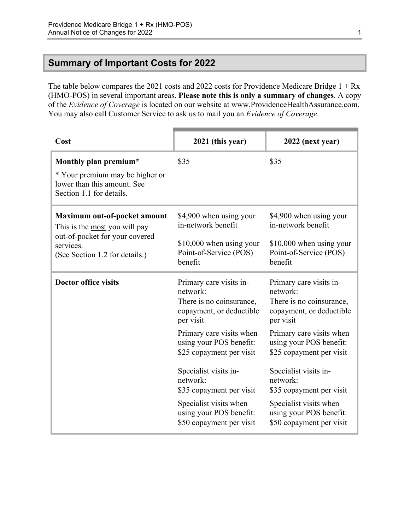# <span id="page-3-0"></span>**Summary of Important Costs for 2022**

The table below compares the 2021 costs and 2022 costs for Providence Medicare Bridge 1 + Rx (HMO-POS) in several important areas. **Please note this is only a summary of changes**. A copy of the *Evidence of Coverage* is located on our website at [www.ProvidenceHealthAssurance.com](http://www.ProvidenceHealthAssurance.com). You may also call Customer Service to ask us to mail you an *Evidence of Coverage*.

| Cost                                                                                                                                           | 2021 (this year)                                                                                               | 2022 (next year)                                                                                               |
|------------------------------------------------------------------------------------------------------------------------------------------------|----------------------------------------------------------------------------------------------------------------|----------------------------------------------------------------------------------------------------------------|
| Monthly plan premium*<br>* Your premium may be higher or<br>lower than this amount. See<br>Section 1.1 for details.                            | \$35                                                                                                           | \$35                                                                                                           |
| Maximum out-of-pocket amount<br>This is the most you will pay<br>out-of-pocket for your covered<br>services.<br>(See Section 1.2 for details.) | \$4,900 when using your<br>in-network benefit<br>\$10,000 when using your<br>Point-of-Service (POS)<br>benefit | \$4,900 when using your<br>in-network benefit<br>\$10,000 when using your<br>Point-of-Service (POS)<br>benefit |
| <b>Doctor office visits</b>                                                                                                                    | Primary care visits in-<br>network:<br>There is no coinsurance,<br>copayment, or deductible<br>per visit       | Primary care visits in-<br>network:<br>There is no coinsurance,<br>copayment, or deductible<br>per visit       |
|                                                                                                                                                | Primary care visits when<br>using your POS benefit:<br>\$25 copayment per visit                                | Primary care visits when<br>using your POS benefit:<br>\$25 copayment per visit                                |
|                                                                                                                                                | Specialist visits in-<br>network:<br>\$35 copayment per visit                                                  | Specialist visits in-<br>network:<br>\$35 copayment per visit                                                  |
|                                                                                                                                                | Specialist visits when<br>using your POS benefit:<br>\$50 copayment per visit                                  | Specialist visits when<br>using your POS benefit:<br>\$50 copayment per visit                                  |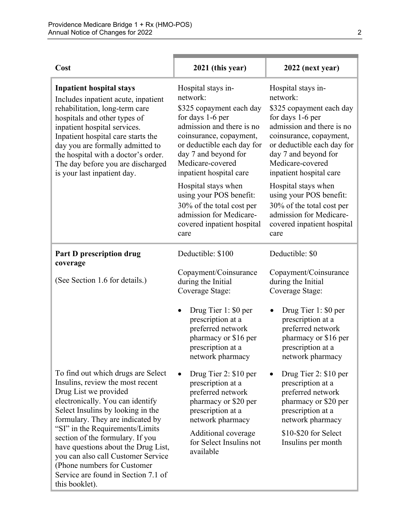| Cost                                                                                                                                                                                                                                                                                                                                                             | 2021 (this year)                                                                                                                                                                                                                            | 2022 (next year)                                                                                                                                                                                                                            |
|------------------------------------------------------------------------------------------------------------------------------------------------------------------------------------------------------------------------------------------------------------------------------------------------------------------------------------------------------------------|---------------------------------------------------------------------------------------------------------------------------------------------------------------------------------------------------------------------------------------------|---------------------------------------------------------------------------------------------------------------------------------------------------------------------------------------------------------------------------------------------|
| <b>Inpatient hospital stays</b><br>Includes inpatient acute, inpatient<br>rehabilitation, long-term care<br>hospitals and other types of<br>inpatient hospital services.<br>Inpatient hospital care starts the<br>day you are formally admitted to<br>the hospital with a doctor's order.<br>The day before you are discharged<br>is your last inpatient day.    | Hospital stays in-<br>network:<br>\$325 copayment each day<br>for days 1-6 per<br>admission and there is no<br>coinsurance, copayment,<br>or deductible each day for<br>day 7 and beyond for<br>Medicare-covered<br>inpatient hospital care | Hospital stays in-<br>network:<br>\$325 copayment each day<br>for days 1-6 per<br>admission and there is no<br>coinsurance, copayment,<br>or deductible each day for<br>day 7 and beyond for<br>Medicare-covered<br>inpatient hospital care |
|                                                                                                                                                                                                                                                                                                                                                                  | Hospital stays when<br>using your POS benefit:<br>30% of the total cost per<br>admission for Medicare-<br>covered inpatient hospital<br>care                                                                                                | Hospital stays when<br>using your POS benefit:<br>30% of the total cost per<br>admission for Medicare-<br>covered inpatient hospital<br>care                                                                                                |
| <b>Part D prescription drug</b><br>coverage                                                                                                                                                                                                                                                                                                                      | Deductible: \$100                                                                                                                                                                                                                           | Deductible: \$0                                                                                                                                                                                                                             |
| (See Section 1.6 for details.)                                                                                                                                                                                                                                                                                                                                   | Copayment/Coinsurance<br>during the Initial<br>Coverage Stage:                                                                                                                                                                              | Copayment/Coinsurance<br>during the Initial<br>Coverage Stage:                                                                                                                                                                              |
|                                                                                                                                                                                                                                                                                                                                                                  | Drug Tier 1: \$0 per<br>prescription at a<br>preferred network<br>pharmacy or \$16 per<br>prescription at a<br>network pharmacy                                                                                                             | Drug Tier 1: \$0 per<br>prescription at a<br>preferred network<br>pharmacy or \$16 per<br>prescription at a<br>network pharmacy                                                                                                             |
| To find out which drugs are Select<br>Insulins, review the most recent<br>Drug List we provided<br>electronically. You can identify<br>Select Insulins by looking in the<br>formulary. They are indicated by<br>"SI" in the Requirements/Limits<br>section of the formulary. If you<br>have questions about the Drug List,<br>you can also call Customer Service | Drug Tier 2: \$10 per<br>prescription at a<br>preferred network<br>pharmacy or \$20 per<br>prescription at a<br>network pharmacy<br>Additional coverage<br>for Select Insulins not<br>available                                             | Drug Tier 2: \$10 per<br>prescription at a<br>preferred network<br>pharmacy or \$20 per<br>prescription at a<br>network pharmacy<br>\$10-\$20 for Select<br>Insulins per month                                                              |
| (Phone numbers for Customer)<br>Service are found in Section 7.1 of<br>this booklet).                                                                                                                                                                                                                                                                            |                                                                                                                                                                                                                                             |                                                                                                                                                                                                                                             |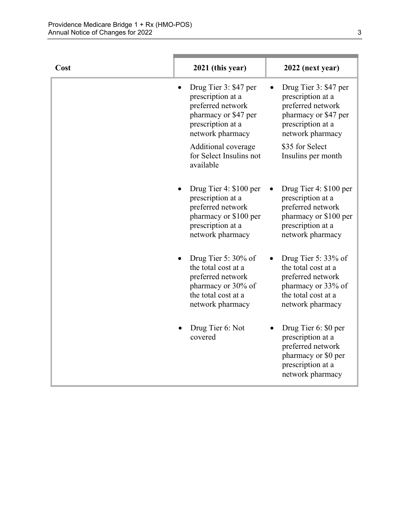| Cost | 2021 (this year)                                                                                                                              | 2022 (next year)                                                                                                                      |
|------|-----------------------------------------------------------------------------------------------------------------------------------------------|---------------------------------------------------------------------------------------------------------------------------------------|
|      | Drug Tier 3: \$47 per<br>$\bullet$<br>prescription at a<br>preferred network<br>pharmacy or \$47 per<br>prescription at a<br>network pharmacy | Drug Tier 3: \$47 per<br>٠<br>prescription at a<br>preferred network<br>pharmacy or \$47 per<br>prescription at a<br>network pharmacy |
|      | Additional coverage<br>for Select Insulins not<br>available                                                                                   | \$35 for Select<br>Insulins per month                                                                                                 |
|      | Drug Tier 4: \$100 per<br>prescription at a<br>preferred network<br>pharmacy or \$100 per<br>prescription at a<br>network pharmacy            | Drug Tier 4: \$100 per<br>prescription at a<br>preferred network<br>pharmacy or \$100 per<br>prescription at a<br>network pharmacy    |
|      | Drug Tier 5: $30\%$ of<br>the total cost at a<br>preferred network<br>pharmacy or 30% of<br>the total cost at a<br>network pharmacy           | Drug Tier 5: $33\%$ of<br>the total cost at a<br>preferred network<br>pharmacy or 33% of<br>the total cost at a<br>network pharmacy   |
|      | Drug Tier 6: Not<br>covered                                                                                                                   | Drug Tier 6: \$0 per<br>prescription at a<br>preferred network<br>pharmacy or \$0 per<br>prescription at a<br>network pharmacy        |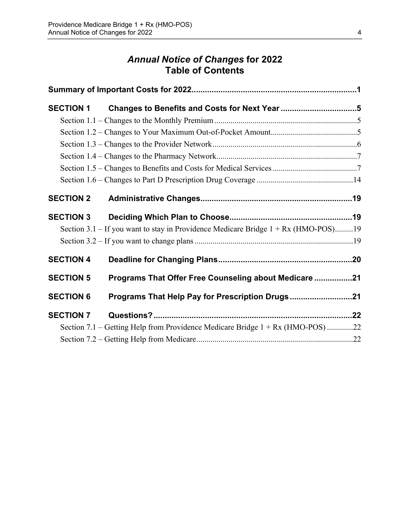# *Annual Notice of Changes* **for 2022 Table of Contents**

| <b>SECTION 1</b> |                                                                                      |  |
|------------------|--------------------------------------------------------------------------------------|--|
|                  |                                                                                      |  |
|                  |                                                                                      |  |
|                  |                                                                                      |  |
|                  |                                                                                      |  |
|                  |                                                                                      |  |
|                  |                                                                                      |  |
| <b>SECTION 2</b> |                                                                                      |  |
| <b>SECTION 3</b> |                                                                                      |  |
|                  | Section 3.1 – If you want to stay in Providence Medicare Bridge $1 + Rx$ (HMO-POS)19 |  |
|                  |                                                                                      |  |
| <b>SECTION 4</b> |                                                                                      |  |
| <b>SECTION 5</b> | Programs That Offer Free Counseling about Medicare 21                                |  |
| <b>SECTION 6</b> | Programs That Help Pay for Prescription Drugs21                                      |  |
| <b>SECTION 7</b> |                                                                                      |  |
|                  | Section 7.1 – Getting Help from Providence Medicare Bridge $1 + Rx$ (HMO-POS) 22     |  |
|                  |                                                                                      |  |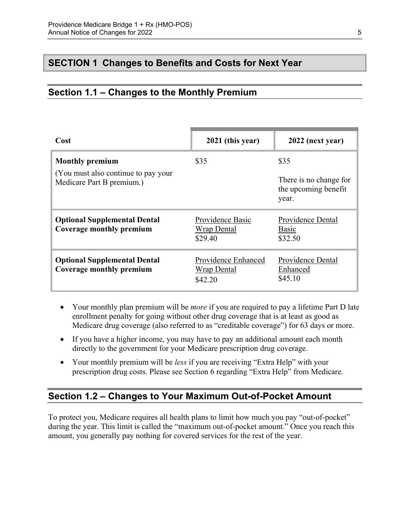# <span id="page-7-0"></span>**SECTION 1 Changes to Benefits and Costs for Next Year**

# <span id="page-7-1"></span>**Section 1.1 – Changes to the Monthly Premium**

| Cost                                                                                        | 2021 (this year)                                     | 2022 (next year)                                                |
|---------------------------------------------------------------------------------------------|------------------------------------------------------|-----------------------------------------------------------------|
| <b>Monthly premium</b><br>(You must also continue to pay your)<br>Medicare Part B premium.) | \$35                                                 | \$35<br>There is no change for<br>the upcoming benefit<br>year. |
| <b>Optional Supplemental Dental</b><br>Coverage monthly premium                             | Providence Basic<br>Wrap Dental<br>\$29.40           | Providence Dental<br>Basic<br>\$32.50                           |
| <b>Optional Supplemental Dental</b><br>Coverage monthly premium                             | Providence Enhanced<br><b>Wrap Dental</b><br>\$42.20 | Providence Dental<br>Enhanced<br>\$45.10                        |

- Your monthly plan premium will be *more* if you are required to pay a lifetime Part D late enrollment penalty for going without other drug coverage that is at least as good as Medicare drug coverage (also referred to as "creditable coverage") for 63 days or more.
- If you have a higher income, you may have to pay an additional amount each month directly to the government for your Medicare prescription drug coverage.
- Your monthly premium will be *less* if you are receiving "Extra Help" with your prescription drug costs. Please see Section 6 regarding "Extra Help" from Medicare.

## <span id="page-7-2"></span>**Section 1.2 – Changes to Your Maximum Out-of-Pocket Amount**

 amount, you generally pay nothing for covered services for the rest of the year. To protect you, Medicare requires all health plans to limit how much you pay "out-of-pocket" during the year. This limit is called the "maximum out-of-pocket amount." Once you reach this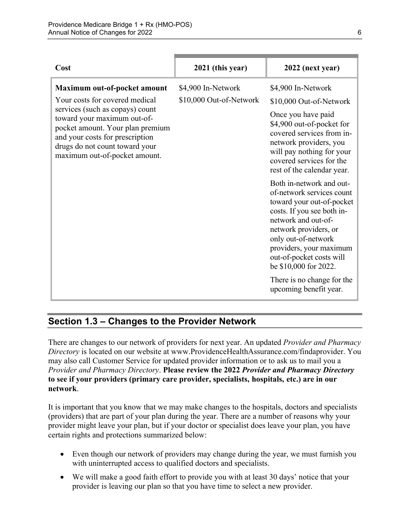| Cost                                                                                                                                                                                                                                                                       | 2021 (this year)                              | 2022 (next year)                                                                                                                                                                                                                                                                                                                |
|----------------------------------------------------------------------------------------------------------------------------------------------------------------------------------------------------------------------------------------------------------------------------|-----------------------------------------------|---------------------------------------------------------------------------------------------------------------------------------------------------------------------------------------------------------------------------------------------------------------------------------------------------------------------------------|
| Maximum out-of-pocket amount<br>Your costs for covered medical<br>services (such as copays) count<br>toward your maximum out-of-<br>pocket amount. Your plan premium<br>and your costs for prescription<br>drugs do not count toward your<br>maximum out-of-pocket amount. | \$4,900 In-Network<br>\$10,000 Out-of-Network | \$4,900 In-Network<br>\$10,000 Out-of-Network<br>Once you have paid<br>\$4,900 out-of-pocket for<br>covered services from in-<br>network providers, you<br>will pay nothing for your<br>covered services for the<br>rest of the calendar year.                                                                                  |
|                                                                                                                                                                                                                                                                            |                                               | Both in-network and out-<br>of-network services count<br>toward your out-of-pocket<br>costs. If you see both in-<br>network and out-of-<br>network providers, or<br>only out-of-network<br>providers, your maximum<br>out-of-pocket costs will<br>be \$10,000 for 2022.<br>There is no change for the<br>upcoming benefit year. |

# <span id="page-8-0"></span>**Section 1.3 – Changes to the Provider Network**

 **to see if your providers (primary care provider, specialists, hospitals, etc.) are in our**  There are changes to our network of providers for next year. An updated *Provider and Pharmacy Directory* is located on our website at [www.ProvidenceHealthAssurance.com/findaprovider.](http://www.ProvidenceHealthAssurance.com/findaprovider) You may also call Customer Service for updated provider information or to ask us to mail you a *Provider and Pharmacy Directory*. **Please review the 2022** *Provider and Pharmacy Directory*  **network**.

It is important that you know that we may make changes to the hospitals, doctors and specialists (providers) that are part of your plan during the year. There are a number of reasons why your provider might leave your plan, but if your doctor or specialist does leave your plan, you have certain rights and protections summarized below:

- Even though our network of providers may change during the year, we must furnish you with uninterrupted access to qualified doctors and specialists.
- We will make a good faith effort to provide you with at least 30 days' notice that your provider is leaving our plan so that you have time to select a new provider.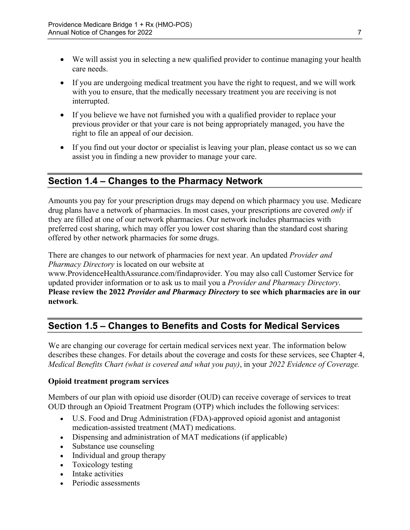- We will assist you in selecting a new qualified provider to continue managing your health care needs.
- If you are undergoing medical treatment you have the right to request, and we will work with you to ensure, that the medically necessary treatment you are receiving is not interrupted.
- If you believe we have not furnished you with a qualified provider to replace your previous provider or that your care is not being appropriately managed, you have the right to file an appeal of our decision.
- If you find out your doctor or specialist is leaving your plan, please contact us so we can assist you in finding a new provider to manage your care.

# <span id="page-9-0"></span>**Section 1.4 – Changes to the Pharmacy Network**

Amounts you pay for your prescription drugs may depend on which pharmacy you use. Medicare drug plans have a network of pharmacies. In most cases, your prescriptions are covered *only* if they are filled at one of our network pharmacies. Our network includes pharmacies with preferred cost sharing, which may offer you lower cost sharing than the standard cost sharing offered by other network pharmacies for some drugs.

There are changes to our network of pharmacies for next year. An updated *Provider and Pharmacy Directory* is located on our website at

[www.ProvidenceHealthAssurance.com/findaprovider](http://www.ProvidenceHealthAssurance.com/findaprovider). You may also call Customer Service for updated provider information or to ask us to mail you a *Provider and Pharmacy Directory*. **Please review the 2022** *Provider and Pharmacy Directory* **to see which pharmacies are in our network**.

# <span id="page-9-1"></span>**Section 1.5 – Changes to Benefits and Costs for Medical Services**

We are changing our coverage for certain medical services next year. The information below describes these changes. For details about the coverage and costs for these services, see Chapter 4, *Medical Benefits Chart (what is covered and what you pay)*, in your *2022 Evidence of Coverage.* 

### **Opioid treatment program services**

Members of our plan with opioid use disorder (OUD) can receive coverage of services to treat OUD through an Opioid Treatment Program (OTP) which includes the following services:

- U.S. Food and Drug Administration (FDA)-approved opioid agonist and antagonist medication-assisted treatment (MAT) medications.
- Dispensing and administration of MAT medications (if applicable)
- Substance use counseling
- Individual and group therapy
- Toxicology testing
- Intake activities
- Periodic assessments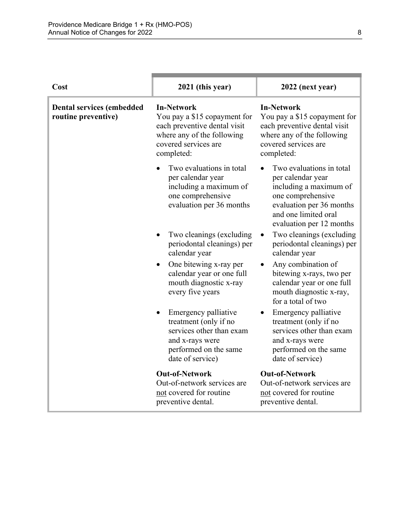| Cost                                                    | 2021 (this year)                                                                                                                                      | 2022 (next year)                                                                                                                                                             |
|---------------------------------------------------------|-------------------------------------------------------------------------------------------------------------------------------------------------------|------------------------------------------------------------------------------------------------------------------------------------------------------------------------------|
| <b>Dental services (embedded</b><br>routine preventive) | <b>In-Network</b><br>You pay a \$15 copayment for<br>each preventive dental visit<br>where any of the following<br>covered services are<br>completed: | <b>In-Network</b><br>You pay a \$15 copayment for<br>each preventive dental visit<br>where any of the following<br>covered services are<br>completed:                        |
|                                                         | Two evaluations in total<br>per calendar year<br>including a maximum of<br>one comprehensive<br>evaluation per 36 months                              | Two evaluations in total<br>per calendar year<br>including a maximum of<br>one comprehensive<br>evaluation per 36 months<br>and one limited oral<br>evaluation per 12 months |
|                                                         | Two cleanings (excluding<br>periodontal cleanings) per<br>calendar year                                                                               | Two cleanings (excluding<br>periodontal cleanings) per<br>calendar year                                                                                                      |
|                                                         | One bitewing x-ray per<br>$\bullet$<br>calendar year or one full<br>mouth diagnostic x-ray<br>every five years                                        | Any combination of<br>bitewing x-rays, two per<br>calendar year or one full<br>mouth diagnostic x-ray,<br>for a total of two                                                 |
|                                                         | Emergency palliative<br>treatment (only if no<br>services other than exam<br>and x-rays were<br>performed on the same<br>date of service)             | Emergency palliative<br>treatment (only if no<br>services other than exam<br>and x-rays were<br>performed on the same<br>date of service)                                    |
|                                                         | <b>Out-of-Network</b><br>Out-of-network services are<br>not covered for routine<br>preventive dental.                                                 | <b>Out-of-Network</b><br>Out-of-network services are<br>not covered for routine<br>preventive dental.                                                                        |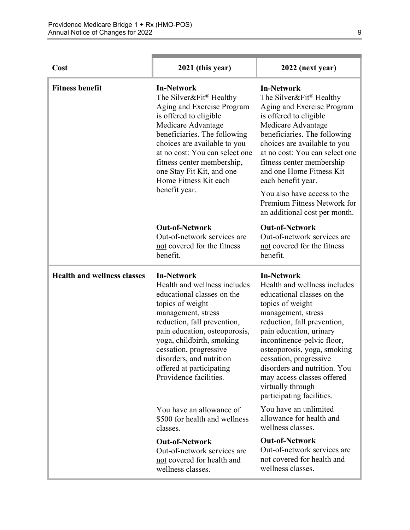| Cost                               | 2021 (this year)                                                                                                                                                                                                                                                                                                                   | 2022 (next year)                                                                                                                                                                                                                                                                                                                                                                                           |
|------------------------------------|------------------------------------------------------------------------------------------------------------------------------------------------------------------------------------------------------------------------------------------------------------------------------------------------------------------------------------|------------------------------------------------------------------------------------------------------------------------------------------------------------------------------------------------------------------------------------------------------------------------------------------------------------------------------------------------------------------------------------------------------------|
| <b>Fitness benefit</b>             | <b>In-Network</b><br>The Silver&Fit® Healthy<br>Aging and Exercise Program<br>is offered to eligible<br>Medicare Advantage<br>beneficiaries. The following<br>choices are available to you<br>at no cost: You can select one<br>fitness center membership,<br>one Stay Fit Kit, and one<br>Home Fitness Kit each<br>benefit year.  | <b>In-Network</b><br>The Silver&Fit® Healthy<br>Aging and Exercise Program<br>is offered to eligible<br>Medicare Advantage<br>beneficiaries. The following<br>choices are available to you<br>at no cost: You can select one<br>fitness center membership<br>and one Home Fitness Kit<br>each benefit year.<br>You also have access to the<br>Premium Fitness Network for<br>an additional cost per month. |
|                                    | <b>Out-of-Network</b><br>Out-of-network services are<br>not covered for the fitness<br>benefit.                                                                                                                                                                                                                                    | <b>Out-of-Network</b><br>Out-of-network services are<br>not covered for the fitness<br>benefit.                                                                                                                                                                                                                                                                                                            |
| <b>Health and wellness classes</b> | <b>In-Network</b><br>Health and wellness includes<br>educational classes on the<br>topics of weight<br>management, stress<br>reduction, fall prevention,<br>pain education, osteoporosis,<br>yoga, childbirth, smoking<br>cessation, progressive<br>disorders, and nutrition<br>offered at participating<br>Providence facilities. | <b>In-Network</b><br>Health and wellness includes<br>educational classes on the<br>topics of weight<br>management, stress<br>reduction, fall prevention,<br>pain education, urinary<br>incontinence-pelvic floor,<br>osteoporosis, yoga, smoking<br>cessation, progressive<br>disorders and nutrition. You<br>may access classes offered<br>virtually through<br>participating facilities.                 |
|                                    | You have an allowance of<br>\$500 for health and wellness<br>classes.                                                                                                                                                                                                                                                              | You have an unlimited<br>allowance for health and<br>wellness classes.                                                                                                                                                                                                                                                                                                                                     |
|                                    | <b>Out-of-Network</b><br>Out-of-network services are<br>not covered for health and<br>wellness classes.                                                                                                                                                                                                                            | <b>Out-of-Network</b><br>Out-of-network services are<br>not covered for health and<br>wellness classes.                                                                                                                                                                                                                                                                                                    |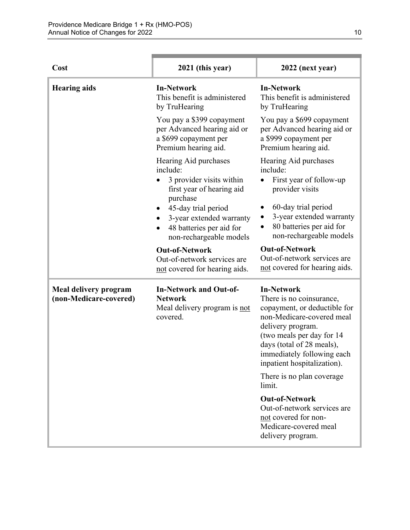| Cost                                                   | 2021 (this year)                                                                                          | 2022 (next year)                                                                                                                                                                                                                                                                     |
|--------------------------------------------------------|-----------------------------------------------------------------------------------------------------------|--------------------------------------------------------------------------------------------------------------------------------------------------------------------------------------------------------------------------------------------------------------------------------------|
| <b>Hearing aids</b>                                    | <b>In-Network</b><br>This benefit is administered<br>by TruHearing                                        | <b>In-Network</b><br>This benefit is administered<br>by TruHearing                                                                                                                                                                                                                   |
|                                                        | You pay a \$399 copayment<br>per Advanced hearing aid or<br>a \$699 copayment per<br>Premium hearing aid. | You pay a \$699 copayment<br>per Advanced hearing aid or<br>a \$999 copayment per<br>Premium hearing aid.                                                                                                                                                                            |
|                                                        | Hearing Aid purchases<br>include:<br>3 provider visits within<br>first year of hearing aid<br>purchase    | Hearing Aid purchases<br>include:<br>First year of follow-up<br>provider visits                                                                                                                                                                                                      |
|                                                        | 45-day trial period<br>3-year extended warranty<br>48 batteries per aid for<br>non-rechargeable models    | 60-day trial period<br>3-year extended warranty<br>80 batteries per aid for<br>non-rechargeable models                                                                                                                                                                               |
|                                                        | <b>Out-of-Network</b><br>Out-of-network services are<br>not covered for hearing aids.                     | <b>Out-of-Network</b><br>Out-of-network services are<br>not covered for hearing aids.                                                                                                                                                                                                |
| <b>Meal delivery program</b><br>(non-Medicare-covered) | <b>In-Network and Out-of-</b><br><b>Network</b><br>Meal delivery program is not<br>covered.               | <b>In-Network</b><br>There is no coinsurance,<br>copayment, or deductible for<br>non-Medicare-covered meal<br>delivery program.<br>(two meals per day for 14<br>days (total of 28 meals),<br>immediately following each<br>inpatient hospitalization).<br>There is no plan coverage. |
|                                                        |                                                                                                           | limit.                                                                                                                                                                                                                                                                               |
|                                                        |                                                                                                           | <b>Out-of-Network</b><br>Out-of-network services are<br>not covered for non-<br>Medicare-covered meal<br>delivery program.                                                                                                                                                           |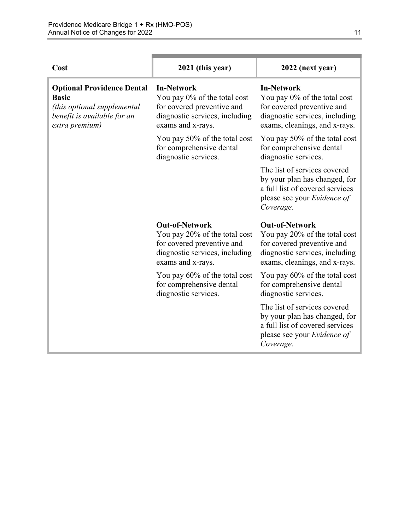| Cost                                                                                                                              | 2021 (this year)                                                                                                                            | 2022 (next year)                                                                                                                                        |
|-----------------------------------------------------------------------------------------------------------------------------------|---------------------------------------------------------------------------------------------------------------------------------------------|---------------------------------------------------------------------------------------------------------------------------------------------------------|
| <b>Optional Providence Dental</b><br><b>Basic</b><br>(this optional supplemental<br>benefit is available for an<br>extra premium) | <b>In-Network</b><br>You pay 0% of the total cost<br>for covered preventive and<br>diagnostic services, including<br>exams and x-rays.      | <b>In-Network</b><br>You pay 0% of the total cost<br>for covered preventive and<br>diagnostic services, including<br>exams, cleanings, and x-rays.      |
|                                                                                                                                   | You pay 50% of the total cost<br>for comprehensive dental<br>diagnostic services.                                                           | You pay 50% of the total cost<br>for comprehensive dental<br>diagnostic services.                                                                       |
|                                                                                                                                   |                                                                                                                                             | The list of services covered<br>by your plan has changed, for<br>a full list of covered services<br>please see your Evidence of<br>Coverage.            |
|                                                                                                                                   | <b>Out-of-Network</b><br>You pay 20% of the total cost<br>for covered preventive and<br>diagnostic services, including<br>exams and x-rays. | <b>Out-of-Network</b><br>You pay 20% of the total cost<br>for covered preventive and<br>diagnostic services, including<br>exams, cleanings, and x-rays. |
|                                                                                                                                   | You pay 60% of the total cost<br>for comprehensive dental<br>diagnostic services.                                                           | You pay 60% of the total cost<br>for comprehensive dental<br>diagnostic services.                                                                       |
|                                                                                                                                   |                                                                                                                                             | The list of services covered<br>by your plan has changed, for<br>a full list of covered services<br>please see your Evidence of<br>Coverage.            |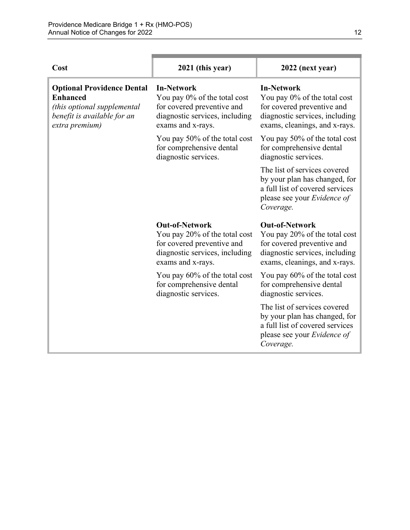| Cost                                                                                                                                 | 2021 (this year)                                                                                                                            | 2022 (next year)                                                                                                                                        |
|--------------------------------------------------------------------------------------------------------------------------------------|---------------------------------------------------------------------------------------------------------------------------------------------|---------------------------------------------------------------------------------------------------------------------------------------------------------|
| <b>Optional Providence Dental</b><br><b>Enhanced</b><br>(this optional supplemental<br>benefit is available for an<br>extra premium) | <b>In-Network</b><br>You pay 0% of the total cost<br>for covered preventive and<br>diagnostic services, including<br>exams and x-rays.      | <b>In-Network</b><br>You pay 0% of the total cost<br>for covered preventive and<br>diagnostic services, including<br>exams, cleanings, and x-rays.      |
|                                                                                                                                      | You pay 50% of the total cost<br>for comprehensive dental<br>diagnostic services.                                                           | You pay 50% of the total cost<br>for comprehensive dental<br>diagnostic services.                                                                       |
|                                                                                                                                      |                                                                                                                                             | The list of services covered<br>by your plan has changed, for<br>a full list of covered services<br>please see your Evidence of<br>Coverage.            |
|                                                                                                                                      | <b>Out-of-Network</b><br>You pay 20% of the total cost<br>for covered preventive and<br>diagnostic services, including<br>exams and x-rays. | <b>Out-of-Network</b><br>You pay 20% of the total cost<br>for covered preventive and<br>diagnostic services, including<br>exams, cleanings, and x-rays. |
|                                                                                                                                      | You pay 60% of the total cost<br>for comprehensive dental<br>diagnostic services.                                                           | You pay 60% of the total cost<br>for comprehensive dental<br>diagnostic services.                                                                       |
|                                                                                                                                      |                                                                                                                                             | The list of services covered<br>by your plan has changed, for<br>a full list of covered services<br>please see your Evidence of<br>Coverage.            |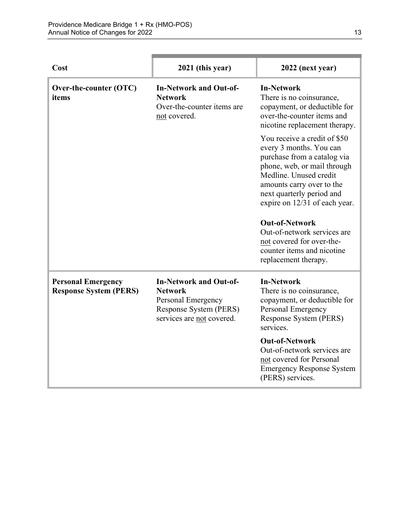| Cost                                                       | 2021 (this year)                                                                                                             | 2022 (next year)                                                                                                                                                                                                                                                                                   |
|------------------------------------------------------------|------------------------------------------------------------------------------------------------------------------------------|----------------------------------------------------------------------------------------------------------------------------------------------------------------------------------------------------------------------------------------------------------------------------------------------------|
| Over-the-counter (OTC)<br>items                            | <b>In-Network and Out-of-</b><br><b>Network</b><br>Over-the-counter items are<br>not covered.                                | <b>In-Network</b><br>There is no coinsurance,<br>copayment, or deductible for<br>over-the-counter items and<br>nicotine replacement therapy.                                                                                                                                                       |
|                                                            |                                                                                                                              | You receive a credit of \$50<br>every 3 months. You can<br>purchase from a catalog via<br>phone, web, or mail through<br>Medline. Unused credit<br>amounts carry over to the<br>next quarterly period and<br>expire on 12/31 of each year.<br><b>Out-of-Network</b><br>Out-of-network services are |
|                                                            |                                                                                                                              | not covered for over-the-<br>counter items and nicotine<br>replacement therapy.                                                                                                                                                                                                                    |
| <b>Personal Emergency</b><br><b>Response System (PERS)</b> | <b>In-Network and Out-of-</b><br><b>Network</b><br>Personal Emergency<br>Response System (PERS)<br>services are not covered. | <b>In-Network</b><br>There is no coinsurance,<br>copayment, or deductible for<br>Personal Emergency<br>Response System (PERS)<br>services.                                                                                                                                                         |
|                                                            |                                                                                                                              | <b>Out-of-Network</b><br>Out-of-network services are<br>not covered for Personal<br><b>Emergency Response System</b><br>(PERS) services.                                                                                                                                                           |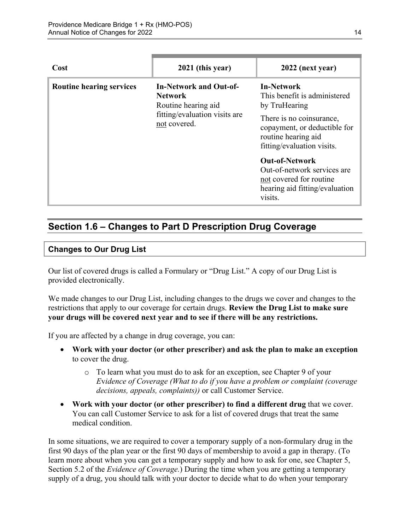| Cost                            | 2021 (this year)                                                                                                        | 2022 (next year)                                                                                                                                                                    |
|---------------------------------|-------------------------------------------------------------------------------------------------------------------------|-------------------------------------------------------------------------------------------------------------------------------------------------------------------------------------|
| <b>Routine hearing services</b> | <b>In-Network and Out-of-</b><br><b>Network</b><br>Routine hearing aid<br>fitting/evaluation visits are<br>not covered. | <b>In-Network</b><br>This benefit is administered<br>by TruHearing<br>There is no coinsurance,<br>copayment, or deductible for<br>routine hearing aid<br>fitting/evaluation visits. |
|                                 |                                                                                                                         | <b>Out-of-Network</b><br>Out-of-network services are<br>not covered for routine<br>hearing aid fitting/evaluation<br>visits.                                                        |

# <span id="page-16-0"></span>**Section 1.6 – Changes to Part D Prescription Drug Coverage**

### **Changes to Our Drug List**

Our list of covered drugs is called a Formulary or "Drug List." A copy of our Drug List is provided electronically.

We made changes to our Drug List, including changes to the drugs we cover and changes to the restrictions that apply to our coverage for certain drugs. **Review the Drug List to make sure your drugs will be covered next year and to see if there will be any restrictions.** 

If you are affected by a change in drug coverage, you can:

- **Work with your doctor (or other prescriber) and ask the plan to make an exception**  to cover the drug.
	- o To learn what you must do to ask for an exception, see Chapter 9 of your *E*v*idence of Coverage (What to do if you have a problem or complaint (coverage decisions, appeals, complaints))* or call Customer Service.
- **Work with your doctor (or other prescriber) to find a different drug** that we cover. You can call Customer Service to ask for a list of covered drugs that treat the same medical condition.

 Section 5.2 of the *Evidence of Coverage.*) During the time when you are getting a temporary In some situations, we are required to cover a temporary supply of a non-formulary drug in the first 90 days of the plan year or the first 90 days of membership to avoid a gap in therapy. (To learn more about when you can get a temporary supply and how to ask for one, see Chapter 5, supply of a drug, you should talk with your doctor to decide what to do when your temporary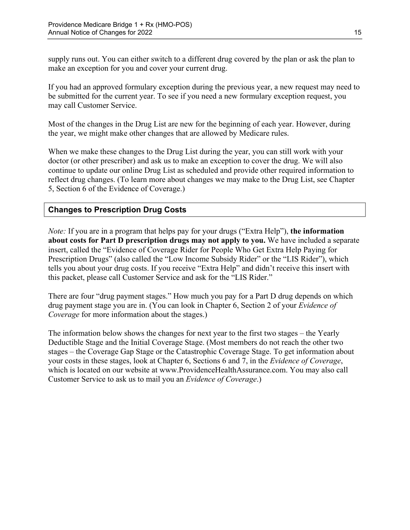supply runs out. You can either switch to a different drug covered by the plan or ask the plan to make an exception for you and cover your current drug.

If you had an approved formulary exception during the previous year, a new request may need to be submitted for the current year. To see if you need a new formulary exception request, you may call Customer Service.

Most of the changes in the Drug List are new for the beginning of each year. However, during the year, we might make other changes that are allowed by Medicare rules.

When we make these changes to the Drug List during the year, you can still work with your doctor (or other prescriber) and ask us to make an exception to cover the drug. We will also continue to update our online Drug List as scheduled and provide other required information to reflect drug changes. (To learn more about changes we may make to the Drug List, see Chapter 5, Section 6 of the Evidence of Coverage.)

### **Changes to Prescription Drug Costs**

*Note:* If you are in a program that helps pay for your drugs ("Extra Help"), **the information about costs for Part D prescription drugs may not apply to you.** We have included a separate insert, called the "Evidence of Coverage Rider for People Who Get Extra Help Paying for Prescription Drugs" (also called the "Low Income Subsidy Rider" or the "LIS Rider"), which tells you about your drug costs. If you receive "Extra Help" and didn't receive this insert with this packet, please call Customer Service and ask for the "LIS Rider."

There are four "drug payment stages." How much you pay for a Part D drug depends on which drug payment stage you are in. (You can look in Chapter 6, Section 2 of your *Evidence of Coverage* for more information about the stages.)

The information below shows the changes for next year to the first two stages – the Yearly Deductible Stage and the Initial Coverage Stage. (Most members do not reach the other two stages – the Coverage Gap Stage or the Catastrophic Coverage Stage. To get information about your costs in these stages, look at Chapter 6, Sections 6 and 7, in the *Evidence of Coverage*, which is located on our website at [www.ProvidenceHealthAssurance.com.](http://www.ProvidenceHealthAssurance.com) You may also call Customer Service to ask us to mail you an *Evidence of Coverage*.)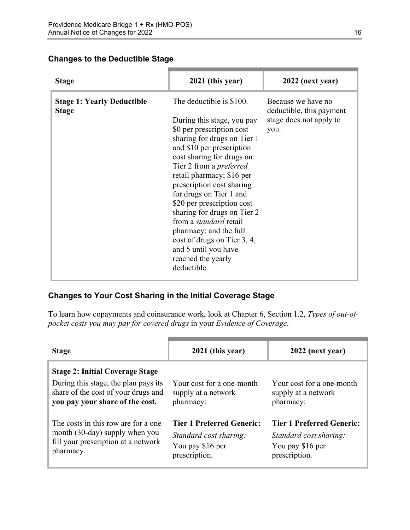### **Changes to the Deductible Stage**

| <b>Stage</b>                                      | 2021 (this year)                                                                                                                                                                                                                                                                                                                                                                                                                                                                                                        | 2022 (next year)                                                                  |
|---------------------------------------------------|-------------------------------------------------------------------------------------------------------------------------------------------------------------------------------------------------------------------------------------------------------------------------------------------------------------------------------------------------------------------------------------------------------------------------------------------------------------------------------------------------------------------------|-----------------------------------------------------------------------------------|
| <b>Stage 1: Yearly Deductible</b><br><b>Stage</b> | The deductible is \$100.<br>During this stage, you pay<br>\$0 per prescription cost<br>sharing for drugs on Tier 1<br>and \$10 per prescription<br>cost sharing for drugs on<br>Tier 2 from a <i>preferred</i><br>retail pharmacy; \$16 per<br>prescription cost sharing<br>for drugs on Tier 1 and<br>\$20 per prescription cost<br>sharing for drugs on Tier 2<br>from a <i>standard</i> retail<br>pharmacy; and the full<br>cost of drugs on Tier 3, 4,<br>and 5 until you have<br>reached the yearly<br>deductible. | Because we have no<br>deductible, this payment<br>stage does not apply to<br>you. |

### **Changes to Your Cost Sharing in the Initial Coverage Stage**

To learn how copayments and coinsurance work, look at Chapter 6, Section 1.2, *Types of out-ofpocket costs you may pay for covered drugs* in your *Evidence of Coverage*.

| <b>Stage</b>                                                                                                                                             | 2021 (this year)                                                                                | 2022 (next year)                                                                                |
|----------------------------------------------------------------------------------------------------------------------------------------------------------|-------------------------------------------------------------------------------------------------|-------------------------------------------------------------------------------------------------|
| <b>Stage 2: Initial Coverage Stage</b><br>During this stage, the plan pays its<br>share of the cost of your drugs and<br>you pay your share of the cost. | Your cost for a one-month<br>supply at a network<br>pharmacy:                                   | Your cost for a one-month<br>supply at a network<br>pharmacy:                                   |
| The costs in this row are for a one-<br>month (30-day) supply when you<br>fill your prescription at a network<br>pharmacy.                               | <b>Tier 1 Preferred Generic:</b><br>Standard cost sharing:<br>You pay \$16 per<br>prescription. | <b>Tier 1 Preferred Generic:</b><br>Standard cost sharing:<br>You pay \$16 per<br>prescription. |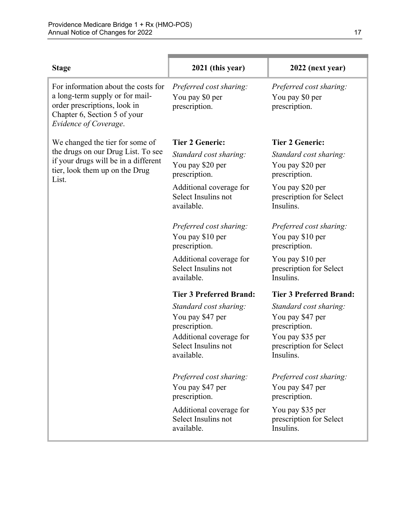| <b>Stage</b>                                                                                                                                                    | 2021 (this year)                                                                                                            | 2022 (next year)                                                                                                        |
|-----------------------------------------------------------------------------------------------------------------------------------------------------------------|-----------------------------------------------------------------------------------------------------------------------------|-------------------------------------------------------------------------------------------------------------------------|
| For information about the costs for<br>a long-term supply or for mail-<br>order prescriptions, look in<br>Chapter 6, Section 5 of your<br>Evidence of Coverage. | Preferred cost sharing:<br>You pay \$0 per<br>prescription.                                                                 | Preferred cost sharing:<br>You pay \$0 per<br>prescription.                                                             |
| We changed the tier for some of                                                                                                                                 | <b>Tier 2 Generic:</b>                                                                                                      | <b>Tier 2 Generic:</b>                                                                                                  |
| the drugs on our Drug List. To see<br>if your drugs will be in a different<br>tier, look them up on the Drug<br>List.                                           | Standard cost sharing:<br>You pay \$20 per<br>prescription.                                                                 | Standard cost sharing:<br>You pay \$20 per<br>prescription.                                                             |
|                                                                                                                                                                 | Additional coverage for<br>Select Insulins not<br>available.                                                                | You pay \$20 per<br>prescription for Select<br>Insulins.                                                                |
|                                                                                                                                                                 | Preferred cost sharing:<br>You pay \$10 per<br>prescription.                                                                | Preferred cost sharing:<br>You pay \$10 per<br>prescription.                                                            |
|                                                                                                                                                                 | Additional coverage for<br>Select Insulins not<br>available.                                                                | You pay \$10 per<br>prescription for Select<br>Insulins.                                                                |
|                                                                                                                                                                 | <b>Tier 3 Preferred Brand:</b>                                                                                              | <b>Tier 3 Preferred Brand:</b>                                                                                          |
|                                                                                                                                                                 | Standard cost sharing:<br>You pay \$47 per<br>prescription.<br>Additional coverage for<br>Select Insulins not<br>available. | Standard cost sharing:<br>You pay \$47 per<br>prescription.<br>You pay \$35 per<br>prescription for Select<br>Insulins. |
|                                                                                                                                                                 | Preferred cost sharing:<br>You pay \$47 per<br>prescription.                                                                | Preferred cost sharing:<br>You pay \$47 per<br>prescription.                                                            |
|                                                                                                                                                                 | Additional coverage for<br>Select Insulins not<br>available.                                                                | You pay \$35 per<br>prescription for Select<br>Insulins.                                                                |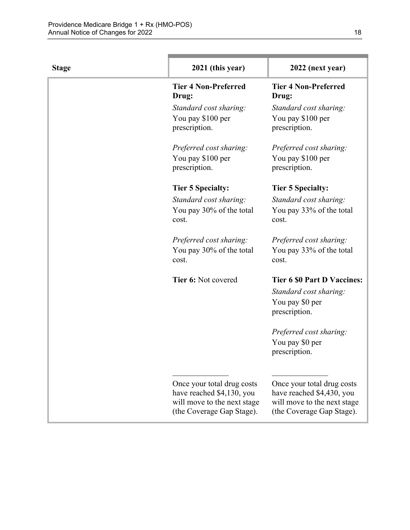| <b>Stage</b> | 2021 (this year)                                                                                                    | 2022 (next year)                                                                                                    |
|--------------|---------------------------------------------------------------------------------------------------------------------|---------------------------------------------------------------------------------------------------------------------|
|              | <b>Tier 4 Non-Preferred</b><br>Drug:                                                                                | <b>Tier 4 Non-Preferred</b><br>Drug:                                                                                |
|              | Standard cost sharing:<br>You pay \$100 per<br>prescription.                                                        | Standard cost sharing:<br>You pay \$100 per<br>prescription.                                                        |
|              | Preferred cost sharing:<br>You pay \$100 per<br>prescription.                                                       | Preferred cost sharing:<br>You pay \$100 per<br>prescription.                                                       |
|              | <b>Tier 5 Specialty:</b>                                                                                            | <b>Tier 5 Specialty:</b>                                                                                            |
|              | Standard cost sharing:<br>You pay 30% of the total<br>cost.                                                         | Standard cost sharing:<br>You pay 33% of the total<br>cost.                                                         |
|              | Preferred cost sharing:<br>You pay 30% of the total<br>cost.                                                        | Preferred cost sharing:<br>You pay 33% of the total<br>cost.                                                        |
|              | Tier 6: Not covered                                                                                                 | <b>Tier 6 \$0 Part D Vaccines:</b><br>Standard cost sharing:<br>You pay \$0 per<br>prescription.                    |
|              |                                                                                                                     | Preferred cost sharing:<br>You pay \$0 per<br>prescription.                                                         |
|              | Once your total drug costs<br>have reached \$4,130, you<br>will move to the next stage<br>(the Coverage Gap Stage). | Once your total drug costs<br>have reached \$4,430, you<br>will move to the next stage<br>(the Coverage Gap Stage). |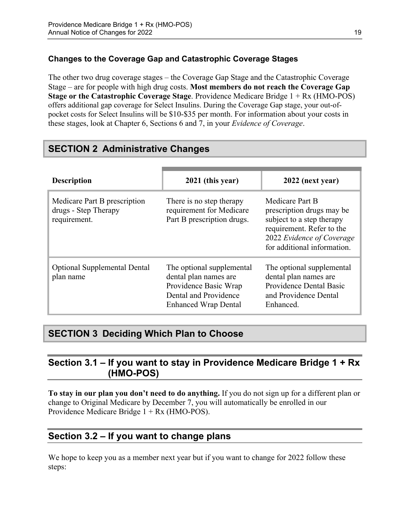### **Changes to the Coverage Gap and Catastrophic Coverage Stages**

The other two drug coverage stages – the Coverage Gap Stage and the Catastrophic Coverage Stage – are for people with high drug costs. **Most members do not reach the Coverage Gap Stage or the Catastrophic Coverage Stage**. Providence Medicare Bridge 1 + Rx (HMO-POS) offers additional gap coverage for Select Insulins. During the Coverage Gap stage, your out-ofpocket costs for Select Insulins will be \$10-\$35 per month. For information about your costs in these stages, look at Chapter 6, Sections 6 and 7, in your *Evidence of Coverage*.

# <span id="page-21-0"></span>**SECTION 2 Administrative Changes**

| <b>Description</b>                                                   | 2021 (this year)                                                                                                                    | 2022 (next year)                                                                                                                                                   |
|----------------------------------------------------------------------|-------------------------------------------------------------------------------------------------------------------------------------|--------------------------------------------------------------------------------------------------------------------------------------------------------------------|
| Medicare Part B prescription<br>drugs - Step Therapy<br>requirement. | There is no step therapy<br>requirement for Medicare<br>Part B prescription drugs.                                                  | Medicare Part B<br>prescription drugs may be<br>subject to a step therapy<br>requirement. Refer to the<br>2022 Evidence of Coverage<br>for additional information. |
| <b>Optional Supplemental Dental</b><br>plan name                     | The optional supplemental<br>dental plan names are<br>Providence Basic Wrap<br>Dental and Providence<br><b>Enhanced Wrap Dental</b> | The optional supplemental<br>dental plan names are<br>Providence Dental Basic<br>and Providence Dental<br>Enhanced.                                                |

# <span id="page-21-1"></span>**SECTION 3 Deciding Which Plan to Choose**

# <span id="page-21-2"></span>**Section 3.1 – If you want to stay in Providence Medicare Bridge 1 + Rx (HMO-POS)**

**To stay in our plan you don't need to do anything.** If you do not sign up for a different plan or change to Original Medicare by December 7, you will automatically be enrolled in our Providence Medicare Bridge 1 + Rx (HMO-POS).

# <span id="page-21-3"></span>**Section 3.2 – If you want to change plans**

We hope to keep you as a member next year but if you want to change for 2022 follow these steps: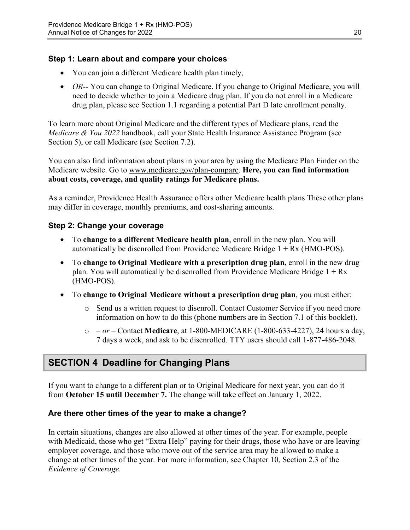### **Step 1: Learn about and compare your choices**

- You can join a different Medicare health plan timely,
- *OR*-- You can change to Original Medicare. If you change to Original Medicare, you will need to decide whether to join a Medicare drug plan. If you do not enroll in a Medicare drug plan, please see Section 1.1 regarding a potential Part D late enrollment penalty.

To learn more about Original Medicare and the different types of Medicare plans, read the *Medicare & You 2022* handbook, call your State Health Insurance Assistance Program (see Section 5), or call Medicare (see Section 7.2).

You can also find information about plans in your area by using the Medicare Plan Finder on the Medicare website. Go to [www.medicare.gov/plan-compare](http://www.medicare.gov/plan-compare). **Here, you can find information about costs, coverage, and quality ratings for Medicare plans.** 

As a reminder, Providence Health Assurance offers other Medicare health plans These other plans may differ in coverage, monthly premiums, and cost-sharing amounts.

### **Step 2: Change your coverage**

- To **change to a different Medicare health plan**, enroll in the new plan. You will automatically be disenrolled from Providence Medicare Bridge  $1 + Rx$  (HMO-POS).
- To **change to Original Medicare with a prescription drug plan,** enroll in the new drug plan. You will automatically be disenrolled from Providence Medicare Bridge  $1 + Rx$ (HMO-POS).
- To **change to Original Medicare without a prescription drug plan**, you must either:
	- $\circ$  Send us a written request to disenroll. Contact Customer Service if you need more information on how to do this (phone numbers are in Section 7.1 of this booklet).
	- o  *or –* Contact **Medicare**, at 1-800-MEDICARE (1-800-633-4227), 24 hours a day, 7 days a week, and ask to be disenrolled. TTY users should call 1-877-486-2048.

# <span id="page-22-0"></span>**SECTION 4 Deadline for Changing Plans**

If you want to change to a different plan or to Original Medicare for next year, you can do it from **October 15 until December 7.** The change will take effect on January 1, 2022.

### **Are there other times of the year to make a change?**

In certain situations, changes are also allowed at other times of the year. For example, people with Medicaid, those who get "Extra Help" paying for their drugs, those who have or are leaving employer coverage, and those who move out of the service area may be allowed to make a change at other times of the year. For more information, see Chapter 10, Section 2.3 of the *Evidence of Coverage.*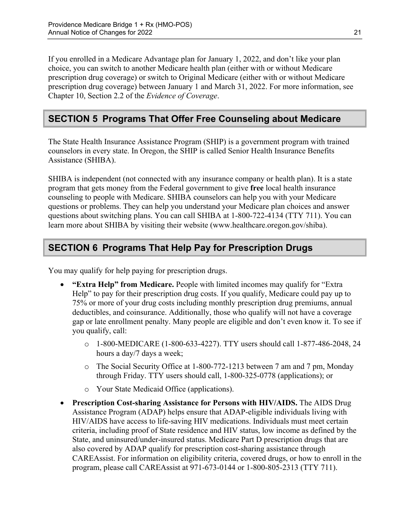Chapter 10, Section 2.2 of the *Evidence of Coverage*. If you enrolled in a Medicare Advantage plan for January 1, 2022, and don't like your plan choice, you can switch to another Medicare health plan (either with or without Medicare prescription drug coverage) or switch to Original Medicare (either with or without Medicare prescription drug coverage) between January 1 and March 31, 2022. For more information, see

# <span id="page-23-0"></span>**SECTION 5 Programs That Offer Free Counseling about Medicare**

The State Health Insurance Assistance Program (SHIP) is a government program with trained counselors in every state. In Oregon, the SHIP is called Senior Health Insurance Benefits Assistance (SHIBA).

 SHIBA is independent (not connected with any insurance company or health plan). It is a state program that gets money from the Federal government to give **free** local health insurance counseling to people with Medicare. SHIBA counselors can help you with your Medicare questions or problems. They can help you understand your Medicare plan choices and answer questions about switching plans. You can call SHIBA at 1-800-722-4134 (TTY 711). You can learn more about SHIBA by visiting their website ([www.healthcare.oregon.gov/shiba](http://healthcare.oregon.gov/shiba)).

# <span id="page-23-1"></span>**SECTION 6 Programs That Help Pay for Prescription Drugs**

You may qualify for help paying for prescription drugs.

- **"Extra Help" from Medicare.** People with limited incomes may qualify for "Extra Help" to pay for their prescription drug costs. If you qualify, Medicare could pay up to 75% or more of your drug costs including monthly prescription drug premiums, annual deductibles, and coinsurance. Additionally, those who qualify will not have a coverage gap or late enrollment penalty. Many people are eligible and don't even know it. To see if you qualify, call:
	- $\circ$  1-800-MEDICARE (1-800-633-4227). TTY users should call 1-877-486-2048, 24 hours a day/7 days a week;
	- o The Social Security Office at 1-800-772-1213 between 7 am and 7 pm, Monday through Friday. TTY users should call, 1-800-325-0778 (applications); or
	- o Your State Medicaid Office (applications).
- **Prescription Cost-sharing Assistance for Persons with HIV/AIDS.** The AIDS Drug Assistance Program (ADAP) helps ensure that ADAP-eligible individuals living with HIV/AIDS have access to life-saving HIV medications. Individuals must meet certain criteria, including proof of State residence and HIV status, low income as defined by the State, and uninsured/under-insured status. Medicare Part D prescription drugs that are also covered by ADAP qualify for prescription cost-sharing assistance through CAREAssist. For information on eligibility criteria, covered drugs, or how to enroll in the program, please call CAREAssist at 971-673-0144 or 1-800-805-2313 (TTY 711).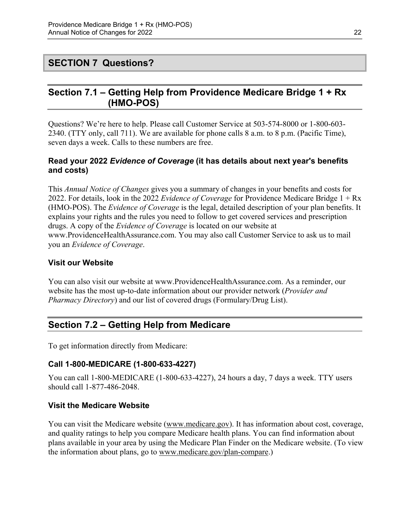## <span id="page-24-0"></span>**SECTION 7 Questions?**

# <span id="page-24-1"></span>**Section 7.1 – Getting Help from Providence Medicare Bridge 1 + Rx (HMO-POS)**

Questions? We're here to help. Please call Customer Service at 503-574-8000 or 1-800-603 2340. (TTY only, call 711). We are available for phone calls 8 a.m. to 8 p.m. (Pacific Time), seven days a week. Calls to these numbers are free.

### **Read your 2022** *Evidence of Coverage* **(it has details about next year's benefits and costs)**

This *Annual Notice of Changes* gives you a summary of changes in your benefits and costs for 2022. For details, look in the 2022 *Evidence of Coverage* for Providence Medicare Bridge 1 + Rx (HMO-POS). The *Evidence of Coverage* is the legal, detailed description of your plan benefits. It explains your rights and the rules you need to follow to get covered services and prescription drugs. A copy of the *Evidence of Coverage* is located on our website at [www.ProvidenceHealthAssurance.com.](http://www.ProvidenceHealthAssurance.com) You may also call Customer Service to ask us to mail you an *Evidence of Coverage*.

#### **Visit our Website**

You can also visit our website at [www.ProvidenceHealthAssurance.com](http://www.ProvidenceHealthAssurance.com). As a reminder, our website has the most up-to-date information about our provider network (*Provider and Pharmacy Directory*) and our list of covered drugs (Formulary/Drug List).

## <span id="page-24-2"></span>**Section 7.2 – Getting Help from Medicare**

To get information directly from Medicare:

### **Call 1-800-MEDICARE (1-800-633-4227)**

You can call 1-800-MEDICARE (1-800-633-4227), 24 hours a day, 7 days a week. TTY users should call 1-877-486-2048.

### **Visit the Medicare Website**

You can visit the Medicare website ([www.medicare.gov\)](http://www.medicare.gov/). It has information about cost, coverage, and quality ratings to help you compare Medicare health plans. You can find information about plans available in your area by using the Medicare Plan Finder on the Medicare website. (To view the information about plans, go to [www.medicare.gov/plan-compare.](http://www.medicare.gov/plan-compare))